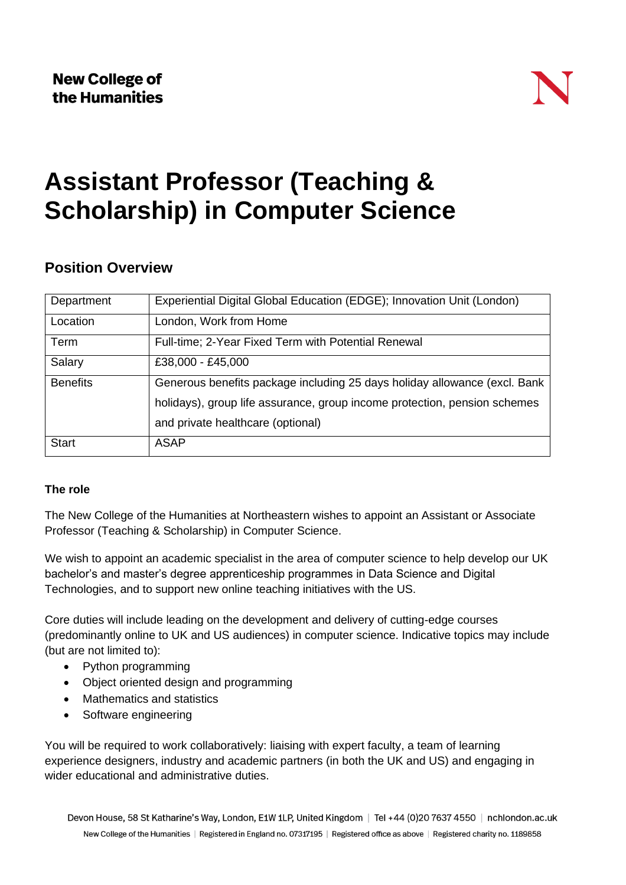# **Assistant Professor (Teaching & Scholarship) in Computer Science**

### **Position Overview**

| Department      | Experiential Digital Global Education (EDGE); Innovation Unit (London)    |
|-----------------|---------------------------------------------------------------------------|
| Location        | London, Work from Home                                                    |
| Term            | Full-time; 2-Year Fixed Term with Potential Renewal                       |
| Salary          | £38,000 - £45,000                                                         |
| <b>Benefits</b> | Generous benefits package including 25 days holiday allowance (excl. Bank |
|                 | holidays), group life assurance, group income protection, pension schemes |
|                 | and private healthcare (optional)                                         |
| <b>Start</b>    | <b>ASAP</b>                                                               |

#### **The role**

The New College of the Humanities at Northeastern wishes to appoint an Assistant or Associate Professor (Teaching & Scholarship) in Computer Science.

We wish to appoint an academic specialist in the area of computer science to help develop our UK bachelor's and master's degree apprenticeship programmes in Data Science and Digital Technologies, and to support new online teaching initiatives with the US.

Core duties will include leading on the development and delivery of cutting-edge courses (predominantly online to UK and US audiences) in computer science. Indicative topics may include (but are not limited to):

- Python programming
- Object oriented design and programming
- Mathematics and statistics
- Software engineering

You will be required to work collaboratively: liaising with expert faculty, a team of learning experience designers, industry and academic partners (in both the UK and US) and engaging in wider educational and administrative duties.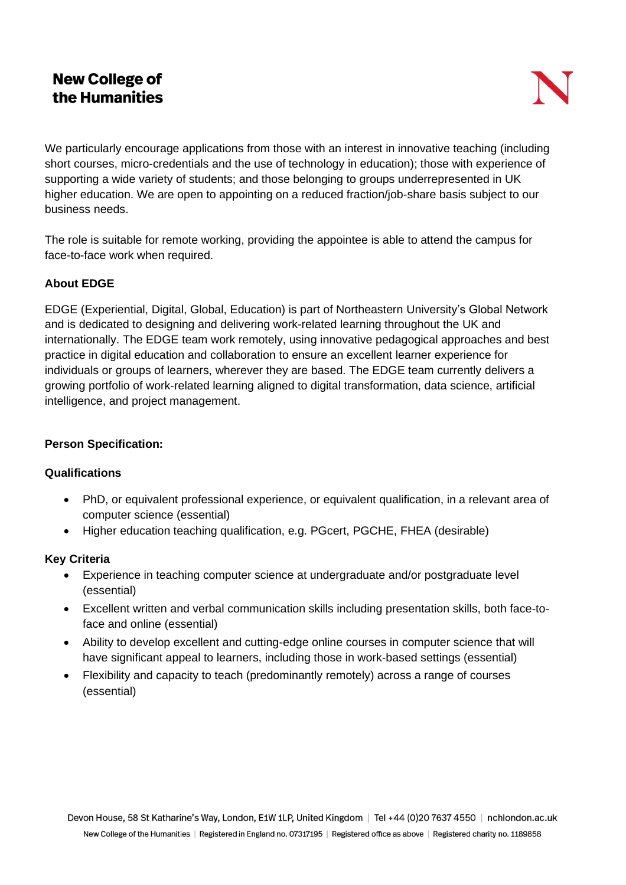## **New College of** the Humanities

We particularly encourage applications from those with an interest in innovative teaching (including short courses, micro-credentials and the use of technology in education); those with experience of supporting a wide variety of students; and those belonging to groups underrepresented in UK higher education. We are open to appointing on a reduced fraction/job-share basis subject to our business needs.

The role is suitable for remote working, providing the appointee is able to attend the campus for face-to-face work when required.

#### **About EDGE**

EDGE (Experiential, Digital, Global, Education) is part of Northeastern University's Global Network and is dedicated to designing and delivering work-related learning throughout the UK and internationally. The EDGE team work remotely, using innovative pedagogical approaches and best practice in digital education and collaboration to ensure an excellent learner experience for individuals or groups of learners, wherever they are based. The EDGE team currently delivers a growing portfolio of work-related learning aligned to digital transformation, data science, artificial intelligence, and project management.

#### **Person Specification:**

#### **Qualifications**

- PhD, or equivalent professional experience, or equivalent qualification, in a relevant area of computer science (essential)
- Higher education teaching qualification, e.g. PGcert, PGCHE, FHEA (desirable)

#### **Key Criteria**

- Experience in teaching computer science at undergraduate and/or postgraduate level (essential)
- Excellent written and verbal communication skills including presentation skills, both face-toface and online (essential)
- Ability to develop excellent and cutting-edge online courses in computer science that will have significant appeal to learners, including those in work-based settings (essential)
- Flexibility and capacity to teach (predominantly remotely) across a range of courses (essential)